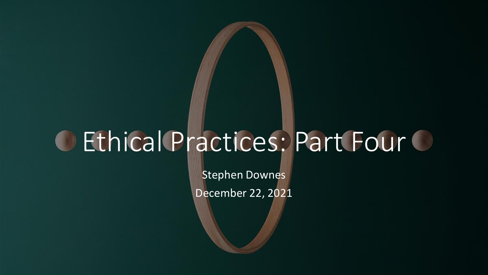# O Ethical Practices: Part Four O

Stephen Downes December 22, 2021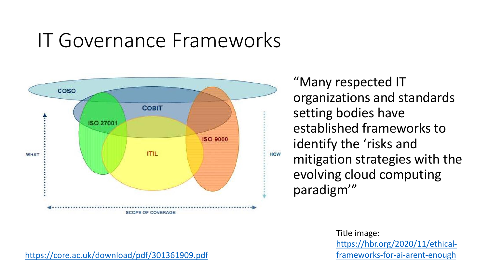### IT Governance Frameworks



"Many respected IT organizations and standards setting bodies have established frameworks to identify the 'risks and mitigation strategies with the evolving cloud computing paradigm'"

> Title image: [https://hbr.org/2020/11/ethical](https://hbr.org/2020/11/ethical-frameworks-for-ai-arent-enough)frameworks-for-ai-arent-enough

<https://core.ac.uk/download/pdf/301361909.pdf>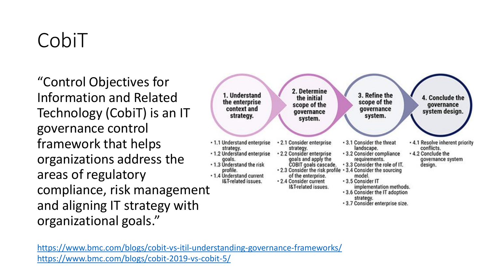### CobiT

"Control Objectives for Information and Related Technology (CobiT) is an IT governance control framework that helps organizations address the areas of regulatory compliance, risk management and aligning IT strategy with organizational goals."



[https://www.bmc.com/blogs/cobit-vs-itil-understanding-governance-frameworks/](https://www.bmc.com/blogs/cobit-2019-vs-cobit-5/)  <https://www.bmc.com/blogs/cobit-2019-vs-cobit-5/>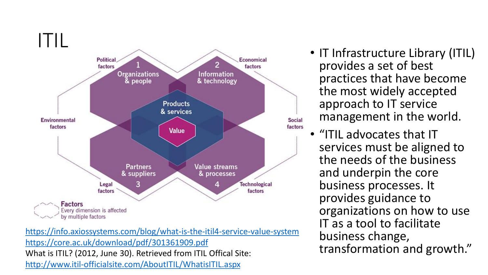

<https://info.axiossystems.com/blog/what-is-the-itil4-service-value-system> <https://core.ac.uk/download/pdf/301361909.pdf> What is ITIL? (2012, June 30). Retrieved from ITIL Offical Site: <http://www.itil-officialsite.com/AboutITIL/WhatisITIL.aspx>

- IT Infrastructure Library (ITIL) provides a set of best practices that have become the most widely accepted approach to IT service management in the world.
- "ITIL advocates that IT services must be aligned to the needs of the business and underpin the core business processes. It provides guidance to organizations on how to use IT as a tool to facilitate business change, transformation and growth."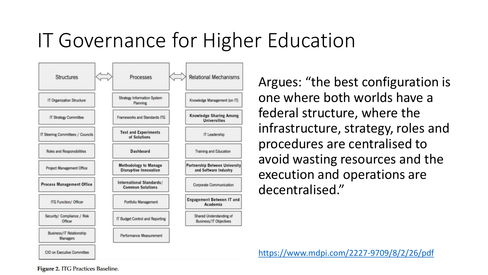### IT Governance for Higher Education



Argues: "the best configuration is one where both worlds have a federal structure, where the infrastructure, strategy, roles and procedures are centralised to avoid wasting resources and the execution and operations are decentralised."

<https://www.mdpi.com/2227-9709/8/2/26/pdf>

**Figure 2. ITG Practices Baseline.**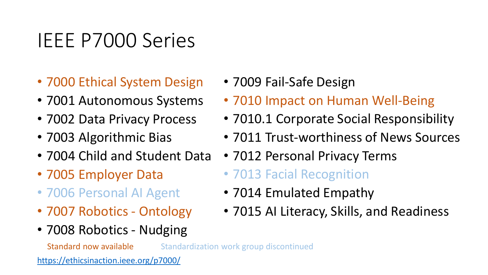### IEEE P7000 Series

- 7000 Ethical System Design
- 7001 Autonomous Systems
- 7002 Data Privacy Process
- 7003 Algorithmic Bias
- 7004 Child and Student Data
- 7005 Employer Data
- 7006 Personal AI Agent
- 7007 Robotics Ontology
- 7008 Robotics Nudging
- 7009 Fail-Safe Design
- 7010 Impact on Human Well-Being
- 7010.1 Corporate Social Responsibility
- 7011 Trust-worthiness of News Sources
- 7012 Personal Privacy Terms
- 7013 Facial Recognition
- 7014 Emulated Empathy
- 7015 AI Literacy, Skills, and Readiness

Standard now available Standardization work group discontinued

<https://ethicsinaction.ieee.org/p7000/>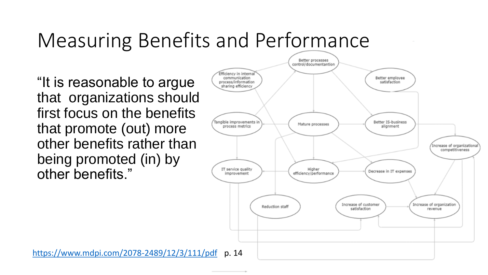### Measuring Benefits and Performance

"It is reasonable to argue that organizations should first focus on the benefits that promote (out) more other benefits rather than being promoted (in) by other benefits."

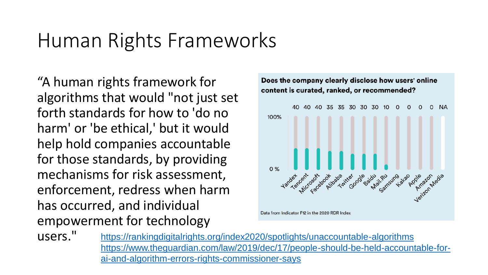### Human Rights Frameworks

"A human rights framework for algorithms that would "not just set forth standards for how to 'do no harm' or 'be ethical,' but it would help hold companies accountable for those standards, by providing mechanisms for risk assessment, enforcement, redress when harm has occurred, and individual empowerment for technology



users." <https://rankingdigitalrights.org/index2020/spotlights/unaccountable-algorithms> [https://www.theguardian.com/law/2019/dec/17/people-should-be-held-accountable-for](https://www.theguardian.com/law/2019/dec/17/people-should-be-held-accountable-for-ai-and-algorithm-errors-rights-commissioner-says)ai-and-algorithm-errors-rights-commissioner-says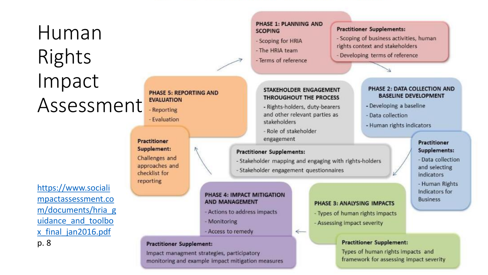### Human Rights Impact Assessment

### https://www.sociali mpactassessment.co [m/documents/hria\\_g](https://www.socialimpactassessment.com/documents/hria_guidance_and_toolbox_final_jan2016.pdf) uidance and toolbo x\_final\_jan2016.pdf p. 8

**Practitioner** Supplement: Challenges and approaches and checklist for reporting

PHASE 4: IMPACT MITIGATION **AND MANAGEMENT** 

PHASE 5: REPORTING AND

**EVALUATION** 

- Reporting

- Evaluation

- Actions to address impacts
- Monitoring
- Access to remedy

#### **Practitioner Supplement:**

Impact managment strategies, participatory monitoring and example impact mitigation measures

#### **PHASE 1: PLANNING AND SCOPING**

- Scoping for HRIA
- The HRIA team
- Terms of reference

#### **Practitioner Supplements:**

- Scoping of business activities, human rights context and stakeholders

PHASE 2: DATA COLLECTION AND

**BASELINE DEVELOPMENT** 

**Practitioner** 

Supplements:

and selecting

indicators

**Business** 

- Data collection

- Human Rights Indicators for

- Developing a baseline

- Human rights indicators

- Data collection

- Developing terms of reference

#### STAKEHOLDER ENGAGEMENT **THROUGHOUT THE PROCESS**

- Rights-holders, duty-bearers and other relevant parties as stakeholders
- Role of stakeholder engagement

#### **Practitioner Supplements:**

- Stakeholder mapping and engaging with rights-holders
- Stakeholder engagement questionnaires

 $\leftarrow$ 

#### **PHASE 3: ANALYSING IMPACTS**

- Types of human rights impacts
- Assessing impact severity

#### **Practitioner Supplement:**

Types of human rights impacts and framework for assessing impact severity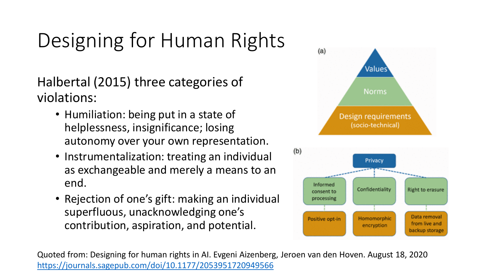## Designing for Human Rights

Halbertal (2015) three categories of violations:

- Humiliation: being put in a state of helplessness, insignificance; losing autonomy over your own representation.
- Instrumentalization: treating an individual as exchangeable and merely a means to an end.
- Rejection of one's gift: making an individual superfluous, unacknowledging one's contribution, aspiration, and potential.





Quoted from: Designing for human rights in AI. Evgeni Aizenberg, Jeroen van den Hoven. August 18, 2020 <https://journals.sagepub.com/doi/10.1177/2053951720949566>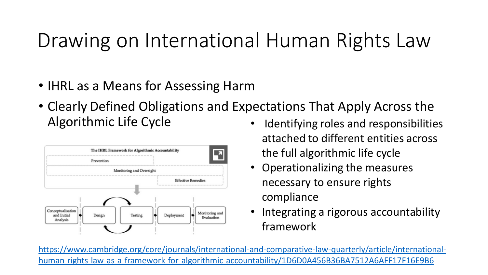### Drawing on International Human Rights Law

- IHRL as a Means for Assessing Harm
- Clearly Defined Obligations and Expectations That Apply Across the Algorithmic Life Cycle • Identifying roles and responsibilities



- attached to different entities across the full algorithmic life cycle
- Operationalizing the measures necessary to ensure rights compliance
- Integrating a rigorous accountability framework

[https://www.cambridge.org/core/journals/international-and-comparative-law-quarterly/article/international](https://www.cambridge.org/core/journals/international-and-comparative-law-quarterly/article/international-human-rights-law-as-a-framework-for-algorithmic-accountability/1D6D0A456B36BA7512A6AFF17F16E9B6)human-rights-law-as-a-framework-for-algorithmic-accountability/1D6D0A456B36BA7512A6AFF17F16E9B6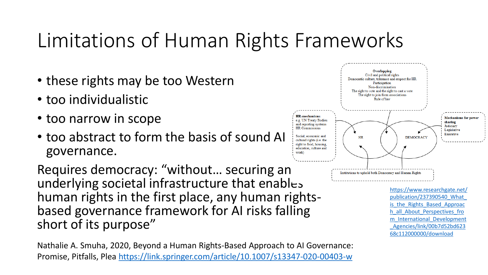### Limitations of Human Rights Frameworks

- these rights may be too Western
- too individualistic
- too narrow in scope
- too abstract to form the basis of sound AI governance.

Requires democracy: "without… securing an underlying societal infrastructure that enables human rights in the first place, any human rightsbased governance framework for AI risks falling short of its purpose"

Nathalie A. Smuha, 2020, Beyond a Human Rights-Based Approach to AI Governance: Promise, Pitfalls, Plea<https://link.springer.com/article/10.1007/s13347-020-00403-w>